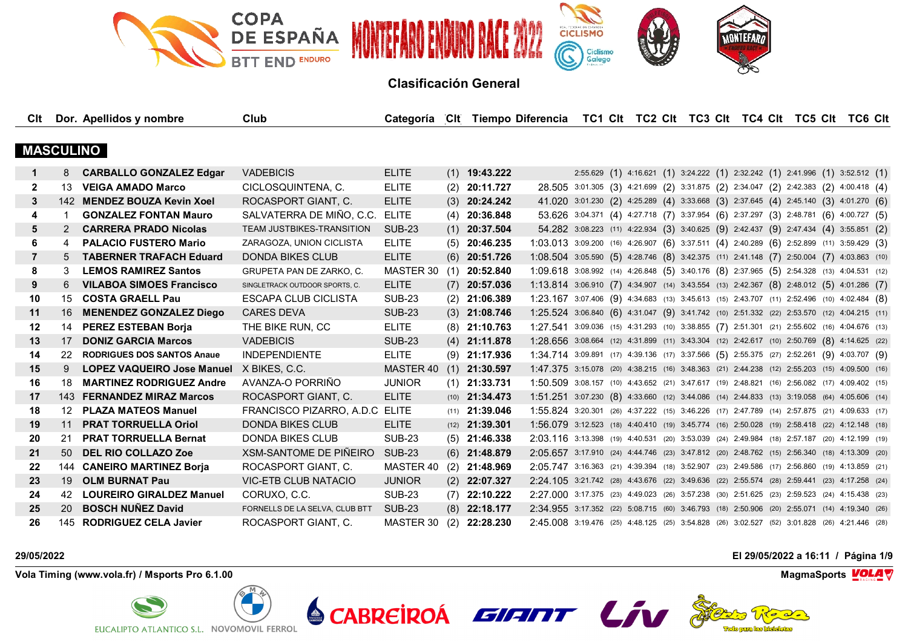

| Clt              |           | Dor. Apellidos y nombre           | Club                             | Categoría CIt Tiempo Diferencia |     |                         |                                                                                              |  |  |  | TC1 CIt TC2 CIt TC3 CIt TC4 CIt TC5 CIt TC6 CIt                                       |  |  |  |
|------------------|-----------|-----------------------------------|----------------------------------|---------------------------------|-----|-------------------------|----------------------------------------------------------------------------------------------|--|--|--|---------------------------------------------------------------------------------------|--|--|--|
|                  |           |                                   |                                  |                                 |     |                         |                                                                                              |  |  |  |                                                                                       |  |  |  |
| <b>MASCULINO</b> |           |                                   |                                  |                                 |     |                         |                                                                                              |  |  |  |                                                                                       |  |  |  |
| $\mathbf 1$      | 8         | <b>CARBALLO GONZALEZ Edgar</b>    | <b>VADEBICIS</b>                 | <b>ELITE</b>                    |     | $(1)$ 19:43.222         |                                                                                              |  |  |  | 2:55.629 (1) 4:16.621 (1) 3:24.222 (1) 2:32.242 (1) 2:41.996 (1) 3:52.512 (1)         |  |  |  |
| 2                | 13        | <b>VEIGA AMADO Marco</b>          | CICLOSQUINTENA, C.               | <b>ELITE</b>                    |     | $(2)$ 20:11.727         |                                                                                              |  |  |  | 28.505 3:01.305 (3) 4:21.699 (2) 3:31.875 (2) 2:34.047 (2) 2:42.383 (2) 4:00.418 (4)  |  |  |  |
| 3                |           | 142 MENDEZ BOUZA Kevin Xoel       | ROCASPORT GIANT, C.              | <b>ELITE</b>                    |     | $(3)$ 20:24.242         |                                                                                              |  |  |  | 41.020 3:01.230 (2) 4:25.289 (4) 3:33.668 (3) 2:37.645 (4) 2:45.140 (3) 4:01.270 (6)  |  |  |  |
| 4                |           | <b>GONZALEZ FONTAN Mauro</b>      | SALVATERRA DE MIÑO, C.C.         | ELITE                           |     | $(4)$ 20:36.848         |                                                                                              |  |  |  | 53.626 3:04.371 (4) 4:27.718 (7) 3:37.954 (6) 2:37.297 (3) 2:48.781 (6) 4:00.727 (5)  |  |  |  |
| 5                | 2         | <b>CARRERA PRADO Nicolas</b>      | <b>TEAM JUSTBIKES-TRANSITION</b> | <b>SUB-23</b>                   |     | $(1)$ 20:37.504         |                                                                                              |  |  |  | 54.282 3:08.223 (11) 4:22.934 (3) 3:40.625 (9) 2:42.437 (9) 2:47.434 (4) 3:55.851 (2) |  |  |  |
| 6                | 4         | <b>PALACIO FUSTERO Mario</b>      | ZARAGOZA, UNION CICLISTA         | <b>ELITE</b>                    |     | $(5)$ 20:46.235         | 1:03.013 3:09.200 (16) 4:26.907 (6) 3:37.511 (4) 2:40.289 (6) 2:52.899 (11) 3:59.429 (3)     |  |  |  |                                                                                       |  |  |  |
| $\overline{7}$   | 5         | <b>TABERNER TRAFACH Eduard</b>    | <b>DONDA BIKES CLUB</b>          | <b>ELITE</b>                    |     | $(6)$ 20:51.726         | 1:08.504 3:05.590 (5) 4:28.746 (8) 3:42.375 (11) 2:41.148 (7) 2:50.004 (7) 4:03.863 (10)     |  |  |  |                                                                                       |  |  |  |
| 8                | 3         | <b>LEMOS RAMIREZ Santos</b>       | GRUPETA PAN DE ZARKO, C.         | MASTER 30                       |     | $(1)$ 20:52.840         | 1:09.618 3:08.992 (14) 4:26.848 (5) 3:40.176 (8) 2:37.965 (5) 2:54.328 (13) 4:04.531 (12)    |  |  |  |                                                                                       |  |  |  |
| 9                | 6         | <b>VILABOA SIMOES Francisco</b>   | SINGLETRACK OUTDOOR SPORTS, C.   | <b>ELITE</b>                    |     | $(7)$ 20:57.036         | 1:13.814 3:06.910 (7) 4:34.907 (14) 3:43.554 (13) 2:42.367 (8) 2:48.012 (5) 4:01.286 (7)     |  |  |  |                                                                                       |  |  |  |
| 10               | 15        | <b>COSTA GRAELL Pau</b>           | ESCAPA CLUB CICLISTA             | <b>SUB-23</b>                   |     | $(2)$ 21:06.389         | $1:23.167$ 3:07.406 (9) 4:34.683 (13) 3:45.613 (15) 2:43.707 (11) 2:52.496 (10) 4:02.484 (8) |  |  |  |                                                                                       |  |  |  |
| 11               | 16        | <b>MENENDEZ GONZALEZ Diego</b>    | <b>CARES DEVA</b>                | <b>SUB-23</b>                   |     | $(3)$ 21:08.746         | 1:25.524 3:06.840 (6) 4:31.047 (9) 3:41.742 (10) 2:51.332 (22) 2:53.570 (12) 4:04.215 (11)   |  |  |  |                                                                                       |  |  |  |
| $12 \,$          | 14        | <b>PEREZ ESTEBAN Borja</b>        | THE BIKE RUN, CC                 | <b>ELITE</b>                    |     | $(8)$ 21:10.763         | 1:27.541 3:09.036 (15) 4:31.293 (10) 3:38.855 (7) 2:51.301 (21) 2:55.602 (16) 4:04.676 (13)  |  |  |  |                                                                                       |  |  |  |
| 13               | 17        | <b>DONIZ GARCIA Marcos</b>        | <b>VADEBICIS</b>                 | <b>SUB-23</b>                   |     | $(4)$ 21:11.878         | 1:28.656 3:08.664 (12) 4:31.899 (11) 3:43.304 (12) 2:42.617 (10) 2:50.769 (8) 4:14.625 (22)  |  |  |  |                                                                                       |  |  |  |
| 14               | 22        | <b>RODRIGUES DOS SANTOS Anaue</b> | <b>INDEPENDIENTE</b>             | <b>ELITE</b>                    |     | $(9)$ 21:17.936         | 1:34.714 3:09.891 (17) 4:39.136 (17) 3:37.566 (5) 2:55.375 (27) 2:52.261 (9) 4:03.707 (9)    |  |  |  |                                                                                       |  |  |  |
| 15               | 9         | <b>LOPEZ VAQUEIRO Jose Manuel</b> | X BIKES, C.C.                    | MASTER 40                       |     | $(1)$ 21:30.597         | 1:47.375 3:15.078 (20) 4:38.215 (16) 3:48.363 (21) 2:44.238 (12) 2:55.203 (15) 4:09.500 (16) |  |  |  |                                                                                       |  |  |  |
| 16               | 18        | <b>MARTINEZ RODRIGUEZ Andre</b>   | AVANZA-O PORRIÑO                 | <b>JUNIOR</b>                   |     | $(1)$ 21:33.731         | 1:50.509 3:08.157 (10) 4:43.652 (21) 3:47.617 (19) 2:48.821 (16) 2:56.082 (17) 4:09.402 (15) |  |  |  |                                                                                       |  |  |  |
| 17               |           | 143 FERNANDEZ MIRAZ Marcos        | ROCASPORT GIANT, C.              | <b>ELITE</b>                    |     | $(10)$ <b>21:34.473</b> | 1:51.251 3:07.230 (8) 4:33.660 (12) 3:44.086 (14) 2:44.833 (13) 3:19.058 (64) 4:05.606 (14)  |  |  |  |                                                                                       |  |  |  |
| 18               | 12        | <b>PLAZA MATEOS Manuel</b>        | FRANCISCO PIZARRO, A.D.C ELITE   |                                 |     | $(11)$ <b>21:39.046</b> | 1:55.824 3:20.301 (26) 4:37.222 (15) 3:46.226 (17) 2:47.789 (14) 2:57.875 (21) 4:09.633 (17) |  |  |  |                                                                                       |  |  |  |
| 19               | 11        | <b>PRAT TORRUELLA Oriol</b>       | <b>DONDA BIKES CLUB</b>          | <b>ELITE</b>                    |     | $(12)$ <b>21:39.301</b> | 1:56.079 3:12.523 (18) 4:40.410 (19) 3:45.774 (16) 2:50.028 (19) 2:58.418 (22) 4:12.148 (18) |  |  |  |                                                                                       |  |  |  |
| 20               | 21        | <b>PRAT TORRUELLA Bernat</b>      | <b>DONDA BIKES CLUB</b>          | <b>SUB-23</b>                   |     | $(5)$ 21:46.338         | 2:03.116 3:13.398 (19) 4:40.531 (20) 3:53.039 (24) 2:49.984 (18) 2:57.187 (20) 4:12.199 (19) |  |  |  |                                                                                       |  |  |  |
| 21               | 50        | <b>DEL RIO COLLAZO Zoe</b>        | XSM-SANTOME DE PIÑEIRO           | <b>SUB-23</b>                   |     | $(6)$ 21:48.879         | 2:05.657 3:17.910 (24) 4:44.746 (23) 3:47.812 (20) 2:48.762 (15) 2:56.340 (18) 4:13.309 (20) |  |  |  |                                                                                       |  |  |  |
| 22               | 144       | <b>CANEIRO MARTINEZ Borja</b>     | ROCASPORT GIANT, C.              | MASTER 40                       |     | $(2)$ 21:48.969         | 2:05.747 3:16.363 (21) 4:39.394 (18) 3:52.907 (23) 2:49.586 (17) 2:56.860 (19) 4:13.859 (21) |  |  |  |                                                                                       |  |  |  |
| 23               | 19        | <b>OLM BURNAT Pau</b>             | <b>VIC-ETB CLUB NATACIO</b>      | <b>JUNIOR</b>                   |     | $(2)$ 22:07.327         | 2:24.105 3:21.742 (28) 4:43.676 (22) 3:49.636 (22) 2:55.574 (28) 2:59.441 (23) 4:17.258 (24) |  |  |  |                                                                                       |  |  |  |
| 24               | 42.       | <b>LOUREIRO GIRALDEZ Manuel</b>   | CORUXO, C.C.                     | <b>SUB-23</b>                   |     | $(7)$ 22:10.222         | 2:27.000 3:17.375 (23) 4:49.023 (26) 3:57.238 (30) 2:51.625 (23) 2:59.523 (24) 4:15.438 (23) |  |  |  |                                                                                       |  |  |  |
| 25               | <b>20</b> | <b>BOSCH NUÑEZ David</b>          | FORNELLS DE LA SELVA, CLUB BTT   | <b>SUB-23</b>                   |     | $(8)$ 22:18.177         | 2:34.955 3:17.352 (22) 5:08.715 (60) 3:46.793 (18) 2:50.906 (20) 2:55.071 (14) 4:19.340 (26) |  |  |  |                                                                                       |  |  |  |
| 26               |           | 145 RODRIGUEZ CELA Javier         | ROCASPORT GIANT. C.              | MASTER 30                       | (2) | 22:28.230               | 2:45.008 3:19.476 (25) 4:48.125 (25) 3:54.828 (26) 3:02.527 (52) 3:01.828 (26) 4:21.446 (28) |  |  |  |                                                                                       |  |  |  |

**Vola Timing (www.vola.fr) / Msports Pro 6.1.00 MagmaSports VOLA** 



**29/05/2022 El 29/05/2022 a 16:11 / Página 1/9**



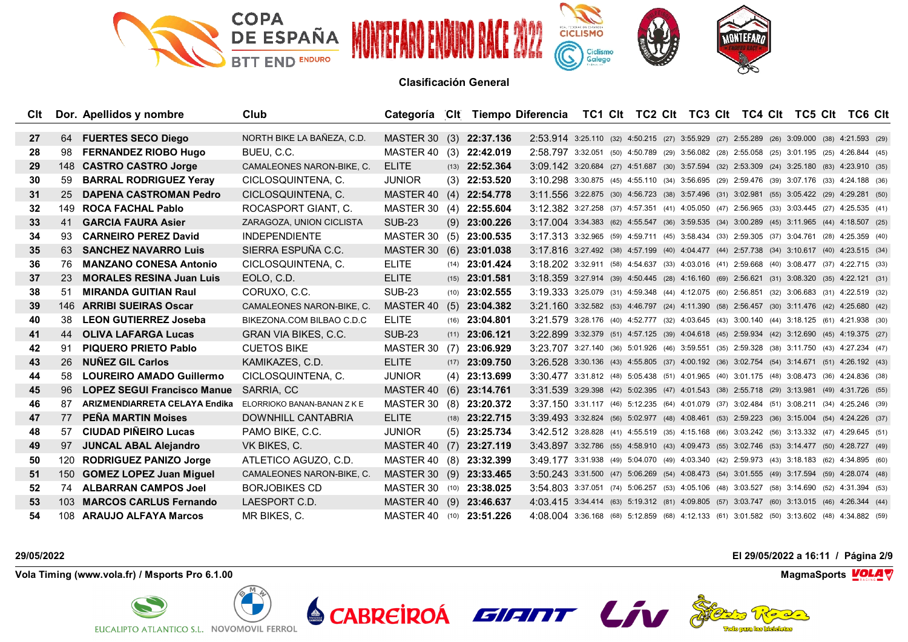

| Clt |     | Dor. Apellidos y nombre            | Club                        | Categoría CIt Tiempo Diferencia TC1 CIt TC2 CIt TC3 CIt TC4 CIt TC5 CIt TC6 CIt |     |                         |                                                                                                            |  |  |  |  |  |  |
|-----|-----|------------------------------------|-----------------------------|---------------------------------------------------------------------------------|-----|-------------------------|------------------------------------------------------------------------------------------------------------|--|--|--|--|--|--|
|     |     |                                    |                             |                                                                                 |     |                         |                                                                                                            |  |  |  |  |  |  |
| 27  |     | 64 FUERTES SECO Diego              | NORTH BIKE LA BAÑEZA, C.D.  | MASTER 30 (3) 22:37.136                                                         |     |                         | 2:53.914 3:25.110 (32) 4:50.215 (27) 3:55.929 (27) 2:55.289 (26) 3:09.000 (38) 4:21.593 (29)               |  |  |  |  |  |  |
| 28  | 98  | <b>FERNANDEZ RIOBO Hugo</b>        | BUEU, C.C.                  | MASTER 40                                                                       |     | $(3)$ 22:42.019         | 2:58.797 3:32.051 (50) 4:50.789 (29) 3:56.082 (28) 2:55.058 (25) 3:01.195 (25) 4:26.844 (45)               |  |  |  |  |  |  |
| 29  |     | 148 CASTRO CASTRO Jorge            | CAMALEONES NARON-BIKE, C.   | <b>ELITE</b>                                                                    |     | $(13)$ <b>22:52.364</b> | $3:09.142$ $3:20.684$ (27) $4:51.687$ (30) $3:57.594$ (32) $2:53.309$ (24) $3:25.180$ (83) $4:23.910$ (35) |  |  |  |  |  |  |
| 30  | 59  | <b>BARRAL RODRIGUEZ Yeray</b>      | CICLOSQUINTENA, C.          | <b>JUNIOR</b>                                                                   |     | $(3)$ 22:53.520         | 3:10.298 3:30.875 (45) 4:55.110 (34) 3:56.695 (29) 2:59.476 (39) 3:07.176 (33) 4:24.188 (36)               |  |  |  |  |  |  |
| 31  | 25  | <b>DAPENA CASTROMAN Pedro</b>      | CICLOSQUINTENA, C.          | MASTER 40                                                                       |     | $(4)$ 22:54.778         | 3:11.556 3:22.875 (30) 4:56.723 (38) 3:57.496 (31) 3:02.981 (55) 3:05.422 (29) 4:29.281 (50)               |  |  |  |  |  |  |
| 32  |     | 149 ROCA FACHAL Pablo              | ROCASPORT GIANT, C.         | MASTER 30                                                                       |     | $(4)$ 22:55.604         | 3:12.382 3:27.258 (37) 4:57.351 (41) 4:05.050 (47) 2:56.965 (33) 3:03.445 (27) 4:25.535 (41)               |  |  |  |  |  |  |
| 33  | 41  | <b>GARCIA FAURA Asier</b>          | ZARAGOZA, UNION CICLISTA    | <b>SUB-23</b>                                                                   |     | $(9)$ 23:00.226         | 3:17.004 3:34.383 (62) 4:55.547 (36) 3:59.535 (34) 3:00.289 (45) 3:11.965 (44) 4:18.507 (25)               |  |  |  |  |  |  |
| 34  | 93  | <b>CARNEIRO PEREZ David</b>        | <b>INDEPENDIENTE</b>        | MASTER 30                                                                       |     | $(5)$ 23:00.535         | 3:17.313 3:32.965 (59) 4:59.711 (45) 3:58.434 (33) 2:59.305 (37) 3:04.761 (28) 4:25.359 (40)               |  |  |  |  |  |  |
| 35  | 63  | <b>SANCHEZ NAVARRO Luis</b>        | SIERRA ESPUÑA C.C.          | MASTER 30                                                                       |     | $(6)$ 23:01.038         | 3:17.816 3:27.492 (38) 4:57.199 (40) 4:04.477 (44) 2:57.738 (34) 3:10.617 (40) 4:23.515 (34)               |  |  |  |  |  |  |
| 36  | 76. | <b>MANZANO CONESA Antonio</b>      | CICLOSQUINTENA, C.          | <b>ELITE</b>                                                                    |     | $(14)$ <b>23:01.424</b> | 3:18.202 3:32.911 (58) 4:54.637 (33) 4:03.016 (41) 2:59.668 (40) 3:08.477 (37) 4:22.715 (33)               |  |  |  |  |  |  |
| 37  | -23 | <b>MORALES RESINA Juan Luis</b>    | EOLO, C.D.                  | <b>ELITE</b>                                                                    |     | $(15)$ <b>23:01.581</b> | 3:18.359 3:27.914 (39) 4:50.445 (28) 4:16.160 (69) 2:56.621 (31) 3:08.320 (35) 4:22.121 (31)               |  |  |  |  |  |  |
| 38  | 51. | <b>MIRANDA GUITIAN Raul</b>        | CORUXO, C.C.                | <b>SUB-23</b>                                                                   |     | $(10)$ 23:02.555        | 3:19.333 3:25.079 (31) 4:59.348 (44) 4:12.075 (60) 2:56.851 (32) 3:06.683 (31) 4:22.519 (32)               |  |  |  |  |  |  |
| 39  |     | 146 ARRIBI SUEIRAS Oscar           | CAMALEONES NARON-BIKE, C.   | MASTER 40                                                                       |     | $(5)$ 23:04.382         | 3:21.160 3:32.582 (53) 4:46.797 (24) 4:11.390 (58) 2:56.457 (30) 3:11.476 (42) 4:25.680 (42)               |  |  |  |  |  |  |
| 40  | 38  | <b>LEON GUTIERREZ Joseba</b>       | BIKEZONA COM BILBAO C.D.C   | <b>ELITE</b>                                                                    |     | $(16)$ <b>23:04.801</b> | 3:21.579 3:28.176 (40) 4:52.777 (32) 4:03.645 (43) 3:00.140 (44) 3:18.125 (61) 4:21.938 (30)               |  |  |  |  |  |  |
| 41  |     | 44 OLIVA LAFARGA Lucas             | <b>GRAN VIA BIKES, C.C.</b> | <b>SUB-23</b>                                                                   |     | $(11)$ <b>23:06.121</b> | 3:22.899 3:32.379 (51) 4:57.125 (39) 4:04.618 (45) 2:59.934 (42) 3:12.690 (45) 4:19.375 (27)               |  |  |  |  |  |  |
| 42  | 91  | <b>PIQUERO PRIETO Pablo</b>        | <b>CUETOS BIKE</b>          | MASTER 30                                                                       |     | $(7)$ 23:06.929         | 3:23.707 3:27.140 (36) 5:01.926 (46) 3:59.551 (35) 2:59.328 (38) 3:11.750 (43) 4:27.234 (47)               |  |  |  |  |  |  |
| 43  | 26  | <b>NUNEZ GIL Carlos</b>            | KAMIKAZES, C.D.             | <b>ELITE</b>                                                                    |     | $(17)$ <b>23:09.750</b> | 3:26.528 3:30.136 (43) 4:55.805 (37) 4:00.192 (36) 3:02.754 (54) 3:14.671 (51) 4:26.192 (43)               |  |  |  |  |  |  |
| 44  | 58. | <b>LOUREIRO AMADO Guillermo</b>    | CICLOSQUINTENA, C.          | <b>JUNIOR</b>                                                                   |     | $(4)$ 23:13.699         | 3:30.477 3:31.812 (48) 5:05.438 (51) 4:01.965 (40) 3:01.175 (48) 3:08.473 (36) 4:24.836 (38)               |  |  |  |  |  |  |
| 45  | 96  | <b>LOPEZ SEGUI Francisco Manue</b> | SARRIA, CC                  | MASTER 40 (6) 23:14.761                                                         |     |                         | 3:31.539 3:29.398 (42) 5:02.395 (47) 4:01.543 (38) 2:55.718 (29) 3:13.981 (49) 4:31.726 (55)               |  |  |  |  |  |  |
| 46  | 87  | ARIZMENDIARRETA CELAYA Endika      | ELORRIOKO BANAN-BANAN Z K E | MASTER 30                                                                       |     | $(8)$ 23:20.372         | 3:37.150 3:31.117 (46) 5:12.235 (64) 4:01.079 (37) 3:02.484 (51) 3:08.211 (34) 4:25.246 (39)               |  |  |  |  |  |  |
| 47  | 77  | <b>PENA MARTIN Moises</b>          | DOWNHILL CANTABRIA          | <b>ELITE</b>                                                                    |     | $(18)$ 23:22.715        | 3:39.493 3:32.824 (56) 5:02.977 (48) 4:08.461 (53) 2:59.223 (36) 3:15.004 (54) 4:24.226 (37)               |  |  |  |  |  |  |
| 48  | 57  | <b>CIUDAD PIÑEIRO Lucas</b>        | PAMO BIKE, C.C.             | <b>JUNIOR</b>                                                                   |     | $(5)$ 23:25.734         | 3:42.512 3:28.828 (41) 4:55.519 (35) 4:15.168 (66) 3:03.242 (56) 3:13.332 (47) 4:29.645 (51)               |  |  |  |  |  |  |
| 49  | 97  | <b>JUNCAL ABAL Alejandro</b>       | VK BIKES, C.                | MASTER 40 (7) 23:27.119                                                         |     |                         | 3:43.897 3:32.786 (55) 4:58.910 (43) 4:09.473 (55) 3:02.746 (53) 3:14.477 (50) 4:28.727 (49)               |  |  |  |  |  |  |
| 50  | 120 | <b>RODRIGUEZ PANIZO Jorge</b>      | ATLETICO AGUZO, C.D.        | MASTER 40 (8)                                                                   |     | 23:32.399               | 3:49.177 3:31.938 (49) 5:04.070 (49) 4:03.340 (42) 2:59.973 (43) 3:18.183 (62) 4:34.895 (60)               |  |  |  |  |  |  |
| 51  |     | 150 GOMEZ LOPEZ Juan Miguel        | CAMALEONES NARON-BIKE, C.   | MASTER 30                                                                       | (9) | 23:33.465               | $3:50.243$ $3:31.500$ (47) $5:06.269$ (54) $4:08.473$ (54) $3:01.555$ (49) $3:17.594$ (59) $4:28.074$ (48) |  |  |  |  |  |  |
| 52  |     | 74 ALBARRAN CAMPOS Joel            | <b>BORJOBIKES CD</b>        | MASTER 30 (10) 23:38.025                                                        |     |                         | 3:54,803 3:37.051 (74) 5:06.257 (53) 4:05.106 (48) 3:03.527 (58) 3:14.690 (52) 4:31.394 (53)               |  |  |  |  |  |  |
| 53  |     | 103 MARCOS CARLUS Fernando         | LAESPORT C.D.               | MASTER 40 (9) 23:46.637                                                         |     |                         | 4:03.415 3:34.414 (63) 5:19.312 (81) 4:09.805 (57) 3:03.747 (60) 3:13.015 (46) 4:26.344 (44)               |  |  |  |  |  |  |
| 54  |     | 108 ARAUJO ALFAYA Marcos           | MR BIKES, C.                | MASTER 40 (10) 23:51.226                                                        |     |                         | 4:08.004 3:36.168 (68) 5:12.859 (68) 4:12.133 (61) 3:01.582 (50) 3:13.602 (48) 4:34.882 (59)               |  |  |  |  |  |  |

**Vola Timing (www.vola.fr) / Msports Pro 6.1.00 MagmaSports VOLA** 



**29/05/2022 El 29/05/2022 a 16:11 / Página 2/9**

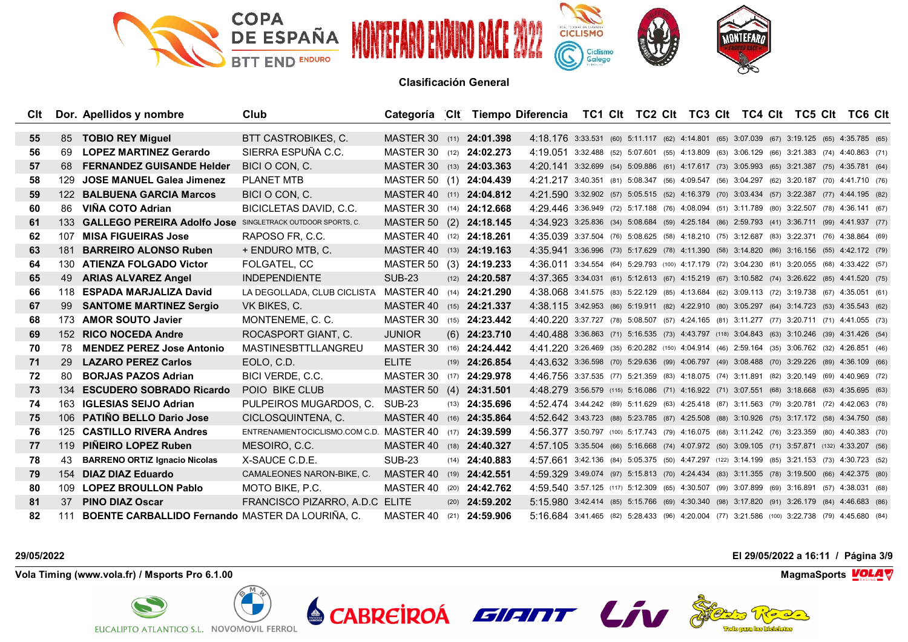

| Clt |      | Dor. Apellidos y nombre                                        | <b>Club</b>                                             | Categoría CIt Tiempo Diferencia TC1 CIt TC2 CIt TC3 CIt TC4 CIt TC5 CIt TC6 CIt |                         |                                                                                               |  |  |  |  |  |  |
|-----|------|----------------------------------------------------------------|---------------------------------------------------------|---------------------------------------------------------------------------------|-------------------------|-----------------------------------------------------------------------------------------------|--|--|--|--|--|--|
|     |      |                                                                |                                                         |                                                                                 |                         |                                                                                               |  |  |  |  |  |  |
| 55  | 85   | <b>TOBIO REY Miquel</b>                                        | BTT CASTROBIKES, C.                                     | MASTER 30 (11) 24:01.398                                                        |                         | 4:18.176 3:33.531 (60) 5:11.117 (62) 4:14.801 (65) 3:07.039 (67) 3:19.125 (65) 4:35.785 (65)  |  |  |  |  |  |  |
| 56  | 69   | <b>LOPEZ MARTINEZ Gerardo</b>                                  | SIERRA ESPUÑA C.C.                                      | MASTER 30 (12) 24:02.273                                                        |                         | 4:19.051 3:32.488 (52) 5:07.601 (55) 4:13.809 (63) 3:06.129 (66) 3:21.383 (74) 4:40.863 (71)  |  |  |  |  |  |  |
| 57  | 68   | <b>FERNANDEZ GUISANDE Helder</b>                               | BICI O CON, C.                                          | MASTER 30 (13) <b>24:03.363</b>                                                 |                         | 4:20.141 3:32.699 (54) 5:09.886 (61) 4:17.617 (73) 3:05.993 (65) 3:21.387 (75) 4:35.781 (64)  |  |  |  |  |  |  |
| 58  | 129. | <b>JOSE MANUEL Galea Jimenez</b>                               | <b>PLANET MTB</b>                                       | MASTER 50 (1) 24:04.439                                                         |                         | 4:21.217 3:40.351 (81) 5:08.347 (56) 4:09.547 (56) 3:04.297 (62) 3:20.187 (70) 4:41.710 (76)  |  |  |  |  |  |  |
| 59  |      | 122 BALBUENA GARCIA Marcos                                     | BICI O CON. C.                                          | MASTER 40 (11) 24:04.812                                                        |                         | 4:21.590 3:32.902 (57) 5:05.515 (52) 4:16.379 (70) 3:03.434 (57) 3:22.387 (77) 4:44.195 (82)  |  |  |  |  |  |  |
| 60  | 86   | VIÑA COTO Adrian                                               | BICICLETAS DAVID, C.C.                                  | MASTER 30 (14) 24:12.668                                                        |                         | 4:29.446 3:36.949 (72) 5:17.188 (76) 4:08.094 (51) 3:11.789 (80) 3:22.507 (78) 4:36.141 (67)  |  |  |  |  |  |  |
| 61  |      | 133 GALLEGO PEREIRA Adolfo Jose SINGLETRACK OUTDOOR SPORTS, C. |                                                         | MASTER 50 (2) 24:18.145                                                         |                         | 4:34.923 3:25.836 (34) 5:08.684 (59) 4:25.184 (86) 2:59.793 (41) 3:36.711 (99) 4:41.937 (77)  |  |  |  |  |  |  |
| 62  | 107  | <b>MISA FIGUEIRAS Jose</b>                                     | RAPOSO FR. C.C.                                         | MASTER 40 (12) 24:18.261                                                        |                         | 4:35.039 3:37.504 (76) 5:08.625 (58) 4:18.210 (75) 3:12.687 (83) 3:22.371 (76) 4:38.864 (69)  |  |  |  |  |  |  |
| 63  | 181  | <b>BARREIRO ALONSO Ruben</b>                                   | + ENDURO MTB, C.                                        | MASTER 40 (13) 24:19.163                                                        |                         | 4:35.941 3:36.996 (73) 5:17.629 (78) 4:11.390 (58) 3:14.820 (86) 3:16.156 (55) 4:42.172 (79)  |  |  |  |  |  |  |
| 64  |      | 130 ATIENZA FOLGADO Victor                                     | FOLGATEL, CC                                            | MASTER 50 (3) 24:19.233                                                         |                         | 4:36.011 3:34.554 (64) 5:29.793 (100) 4:17.179 (72) 3:04.230 (61) 3:20.055 (68) 4:33.422 (57) |  |  |  |  |  |  |
| 65  | 49   | <b>ARIAS ALVAREZ Angel</b>                                     | <b>INDEPENDIENTE</b>                                    | <b>SUB-23</b>                                                                   | $(12)$ <b>24:20.587</b> | 4:37.365 3:34.031 (61) 5:12.613 (67) 4:15.219 (67) 3:10.582 (74) 3:26.622 (85) 4:41.520 (75)  |  |  |  |  |  |  |
| 66  |      | 118 ESPADA MARJALIZA David                                     | LA DEGOLLADA. CLUB CICLISTA MASTER 40 (14) 24:21.290    |                                                                                 |                         | 4:38.068 3:41.575 (83) 5:22.129 (85) 4:13.684 (62) 3:09.113 (72) 3:19.738 (67) 4:35.051 (61)  |  |  |  |  |  |  |
| 67  | 99   | <b>SANTOME MARTINEZ Sergio</b>                                 | VK BIKES, C.                                            | MASTER 40 (15) <b>24:21.337</b>                                                 |                         | 4:38.115 3:42.953 (86) 5:19.911 (82) 4:22.910 (80) 3:05.297 (64) 3:14.723 (53) 4:35.543 (62)  |  |  |  |  |  |  |
| 68  |      | 173 AMOR SOUTO Javier                                          | MONTENEME, C. C.                                        | MASTER 30 (15) <b>24:23.442</b>                                                 |                         | 4:40.220 3:37.727 (78) 5:08.507 (57) 4:24.165 (81) 3:11.277 (77) 3:20.711 (71) 4:41.055 (73)  |  |  |  |  |  |  |
| 69  |      | 152 RICO NOCEDA Andre                                          | ROCASPORT GIANT, C.                                     | <b>JUNIOR</b>                                                                   | $(6)$ 24:23.710         | 4:40.488 3:36.863 (71) 5:16.535 (73) 4:43.797 (118) 3:04.843 (63) 3:10.246 (39) 4:31.426 (54) |  |  |  |  |  |  |
| 70  | 78.  | <b>MENDEZ PEREZ Jose Antonio</b>                               | MASTINESBTTLLANGREU                                     | MASTER 30 (16) 24:24.442                                                        |                         | 4:41.220 3:26.469 (35) 6:20.282 (150) 4:04.914 (46) 2:59.164 (35) 3:06.762 (32) 4:26.851 (46) |  |  |  |  |  |  |
| 71  | 29   | <b>LAZARO PEREZ Carlos</b>                                     | EOLO, C.D.                                              | <b>ELITE</b>                                                                    | $(19)$ <b>24:26.854</b> | 4:43.632 3:36.598 (70) 5:29.636 (99) 4:06.797 (49) 3:08.488 (70) 3:29.226 (89) 4:36.109 (66)  |  |  |  |  |  |  |
| 72  | 80   | <b>BORJAS PAZOS Adrian</b>                                     | BICI VERDE, C.C.                                        | MASTER 30                                                                       | $(17)$ <b>24:29.978</b> | 4:46.756 3:37.535 (77) 5:21.359 (83) 4:18.075 (74) 3:11.891 (82) 3:20.149 (69) 4:40.969 (72)  |  |  |  |  |  |  |
| 73  |      | 134 ESCUDERO SOBRADO Ricardo                                   | POIO BIKE CLUB                                          | MASTER 50 (4) 24:31.501                                                         |                         | 4:48.279 3:56.579 (115) 5:16.086 (71) 4:16.922 (71) 3:07.551 (68) 3:18.668 (63) 4:35.695 (63) |  |  |  |  |  |  |
| 74  |      | 163 IGLESIAS SEIJO Adrian                                      | PULPEIROS MUGARDOS, C.                                  | <b>SUB-23</b>                                                                   | $(13)$ <b>24:35.696</b> | 4:52.474 3:44.242 (89) 5:11.629 (63) 4:25.418 (87) 3:11.563 (79) 3:20.781 (72) 4:42.063 (78)  |  |  |  |  |  |  |
| 75  |      | 106 PATIÑO BELLO Dario Jose                                    | CICLOSQUINTENA, C.                                      | MASTER 40 (16) 24:35.864                                                        |                         | 4:52.642 3:43.723 (88) 5:23.785 (87) 4:25.508 (88) 3:10.926 (75) 3:17.172 (58) 4:34.750 (58)  |  |  |  |  |  |  |
| 76  |      | 125 CASTILLO RIVERA Andres                                     | ENTRENAMIENTOCICLISMO.COM C.D. MASTER 40 (17) 24:39.599 |                                                                                 |                         | 4:56.377 3:50.797 (100) 5:17.743 (79) 4:16.075 (68) 3:11.242 (76) 3:23.359 (80) 4:40.383 (70) |  |  |  |  |  |  |
| 77  |      | 119 PINEIRO LOPEZ Ruben                                        | MESOIRO, C.C.                                           | MASTER 40 (18) 24:40.327                                                        |                         | 4:57.105 3:35.504 (66) 5:16.668 (74) 4:07.972 (50) 3:09.105 (71) 3:57.871 (132) 4:33.207 (56) |  |  |  |  |  |  |
| 78  | 43   | <b>BARRENO ORTIZ Ignacio Nicolas</b>                           | X-SAUCE C.D.E.                                          | SUB-23                                                                          | $(14)$ <b>24:40.883</b> | 4:57.661 3:42.136 (84) 5:05.375 (50) 4:47.297 (122) 3:14.199 (85) 3:21.153 (73) 4:30.723 (52) |  |  |  |  |  |  |
| 79  |      | 154 DIAZ DIAZ Eduardo                                          | CAMALEONES NARON-BIKE, C.                               | MASTER 40                                                                       | $(19)$ <b>24:42.551</b> | 4:59.329 3:49.074 (97) 5:15.813 (70) 4:24.434 (83) 3:11.355 (78) 3:19.500 (66) 4:42.375 (80)  |  |  |  |  |  |  |
| 80  |      | 109 LOPEZ BROULLON Pablo                                       | MOTO BIKE, P.C.                                         | MASTER 40 (20) <b>24:42.762</b>                                                 |                         | 4:59.540 3:57.125 (117) 5:12.309 (65) 4:30.507 (99) 3:07.899 (69) 3:16.891 (57) 4:38.031 (68) |  |  |  |  |  |  |
| 81  | 37   | <b>PINO DIAZ Oscar</b>                                         | FRANCISCO PIZARRO, A.D.C ELITE                          |                                                                                 | $(20)$ <b>24:59.202</b> | 5:15.980 3:42.414 (85) 5:15.766 (69) 4:30.340 (98) 3:17.820 (91) 3:26.179 (84) 4:46.683 (86)  |  |  |  |  |  |  |
| 82  |      | 111 BOENTE CARBALLIDO Fernando MASTER DA LOURIÑA, C.           |                                                         | MASTER 40 (21) 24:59.906                                                        |                         | 5:16.684 3:41.465 (82) 5:28.433 (96) 4:20.004 (77) 3:21.586 (100) 3:22.738 (79) 4:45.680 (84) |  |  |  |  |  |  |

**Vola Timing (www.vola.fr) / Msports Pro 6.1.00 MagmaSports VOLA** 



**29/05/2022 El 29/05/2022 a 16:11 / Página 3/9**



The longing has birded about

**VolaSoftControlPdf**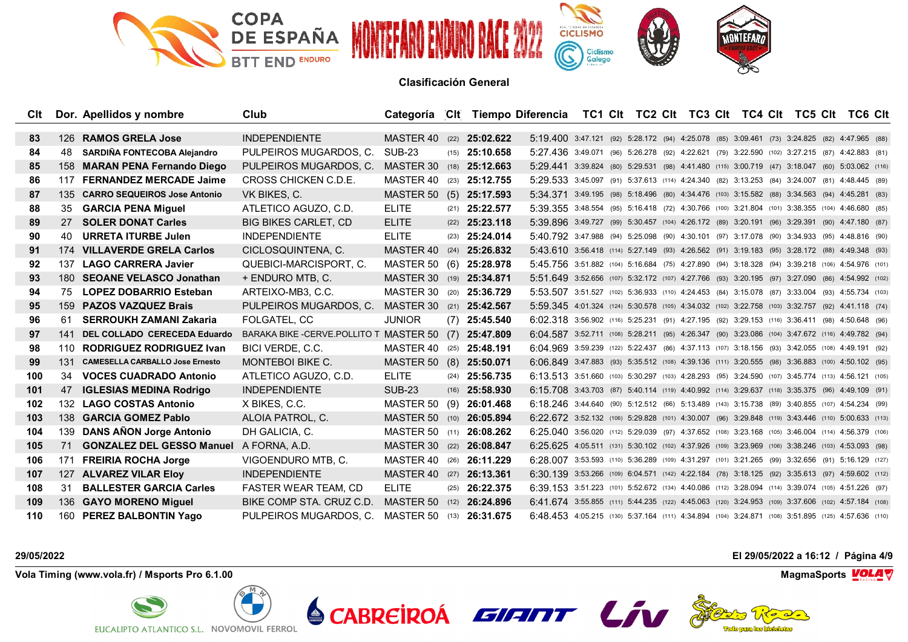

| Clt |      | Dor. Apellidos y nombre                | Club                                                |                                 |                         | Categoría CIt Tiempo Diferencia TC1 CIt TC2 CIt TC3 CIt TC4 CIt TC5 CIt TC6 CIt                    |  |  |  |  |  |  |
|-----|------|----------------------------------------|-----------------------------------------------------|---------------------------------|-------------------------|----------------------------------------------------------------------------------------------------|--|--|--|--|--|--|
| 83  |      | 126 RAMOS GRELA Jose                   | <b>INDEPENDIENTE</b>                                | MASTER 40                       | $(22)$ <b>25:02.622</b> | 5:19.400 3:47.121 (92) 5:28.172 (94) 4:25.078 (85) 3:09.461 (73) 3:24.825 (82) 4:47.965 (88)       |  |  |  |  |  |  |
| 84  | 48   | SARDIÑA FONTECOBA Alejandro            |                                                     | SUB-23                          | $(15)$ 25:10.658        | 5:27.436 3:49.071 (96) 5:26.278 (92) 4:22.621 (79) 3:22.590 (102) 3:27.215 (87) 4:42.883 (81)      |  |  |  |  |  |  |
|     |      |                                        | PULPEIROS MUGARDOS, C.                              |                                 |                         |                                                                                                    |  |  |  |  |  |  |
| 85  |      | 158 MARAN PENA Fernando Diego          | PULPEIROS MUGARDOS, C.                              | MASTER 30                       | $(18)$ 25:12.663        | 5:29.441 3:39.824 (80) 5:29.531 (98) 4:41.480 (115) 3:00.719 (47) 3:18.047 (60) 5:03.062 (116)     |  |  |  |  |  |  |
| 86  |      | 117 FERNANDEZ MERCADE Jaime            | CROSS CHICKEN C.D.E.                                | MASTER 40                       | $(23)$ 25:12.755        | 5:29.533 3:45.097 (91) 5:37.613 (114) 4:24.340 (82) 3:13.253 (84) 3:24.007 (81) 4:48.445 (89)      |  |  |  |  |  |  |
| 87  |      | 135 CARRO SEQUEIROS Jose Antonio       | VK BIKES, C.                                        | MASTER 50 (5) 25:17.593         |                         | 5:34.371 3:49.195 (98) 5:18.496 (80) 4:34.476 (103) 3:15.582 (88) 3:34.563 (94) 4:45.281 (83)      |  |  |  |  |  |  |
| 88  | 35   | <b>GARCIA PENA Miguel</b>              | ATLETICO AGUZO, C.D.                                | <b>ELITE</b>                    | $(21)$ <b>25:22.577</b> | 5:39.355 3:48.554 (95) 5:16.418 (72) 4:30.766 (100) 3:21.804 (101) 3:38.355 (104) 4:46.680 (85)    |  |  |  |  |  |  |
| 89  | 27   | <b>SOLER DONAT Carles</b>              | <b>BIG BIKES CARLET, CD</b>                         | <b>ELITE</b>                    | $(22)$ <b>25:23.118</b> | 5:39.896 3:49.727 (99) 5:30.457 (104) 4:26.172 (89) 3:20.191 (96) 3:29.391 (90) 4:47.180 (87)      |  |  |  |  |  |  |
| 90  | 40.  | <b>URRETA ITURBE Julen</b>             | <b>INDEPENDIENTE</b>                                | <b>ELITE</b>                    | $(23)$ <b>25:24.014</b> | 5:40.792 3:47.988 (94) 5:25.098 (90) 4:30.101 (97) 3:17.078 (90) 3:34.933 (95) 4:48.816 (90)       |  |  |  |  |  |  |
| 91  |      | 174 VILLAVERDE GRELA Carlos            | CICLOSQUINTENA, C.                                  | MASTER 40 (24) 25:26.832        |                         | 5:43.610 3:56.418 (114) 5:27.149 (93) 4:26.562 (91) 3:19.183 (95) 3:28.172 (88) 4:49.348 (93)      |  |  |  |  |  |  |
| 92  | 137. | <b>LAGO CARRERA Javier</b>             | QUEBICI-MARCISPORT, C.                              | MASTER 50 (6) 25:28.978         |                         | 5:45.756 3:51.882 (104) 5:16.684 (75) 4:27.890 (94) 3:18.328 (94) 3:39.218 (106) 4:54.976 (101)    |  |  |  |  |  |  |
| 93  |      | 180 SEOANE VELASCO Jonathan            | + ENDURO MTB, C.                                    | MASTER 30 (19) 25:34.871        |                         | 5:51.649 3:52.656 (107) 5:32.172 (107) 4:27.766 (93) 3:20.195 (97) 3:27.090 (86) 4:54.992 (102)    |  |  |  |  |  |  |
| 94  |      | 75 LOPEZ DOBARRIO Esteban              | ARTEIXO-MB3, C.C.                                   | MASTER 30 (20) 25:36.729        |                         | 5:53.507 3:51.527 (102) 5:36.933 (110) 4:24.453 (84) 3:15.078 (87) 3:33.004 (93) 4:55.734 (103)    |  |  |  |  |  |  |
| 95  |      | 159 PAZOS VAZQUEZ Brais                | PULPEIROS MUGARDOS, C.                              | MASTER 30 (21) <b>25:42.567</b> |                         | 5:59.345 4:01.324 (124) 5:30.578 (105) 4:34.032 (102) 3:22.758 (103) 3:32.757 (92) 4:41.118 (74)   |  |  |  |  |  |  |
| 96  |      | 61 SERROUKH ZAMANI Zakaria             | FOLGATEL, CC                                        | <b>JUNIOR</b>                   | $(7)$ 25:45.540         | 6:02.318 3:56.902 (116) 5:25.231 (91) 4:27.195 (92) 3:29.153 (116) 3:36.411 (98) 4:50.648 (96)     |  |  |  |  |  |  |
| 97  | 141  | DEL COLLADO CERECEDA Eduardo           | BARAKA BIKE-CERVE.POLLITO T MASTER 50 (7) 25:47.809 |                                 |                         | 6:04.587 3:52.711 (108) 5:28.211 (95) 4:26.347 (90) 3:23.086 (104) 3:47.672 (116) 4:49.782 (94)    |  |  |  |  |  |  |
| 98  |      | 110 RODRIGUEZ RODRIGUEZ Ivan           | BICI VERDE, C.C.                                    | MASTER 40 (25) 25:48.191        |                         | 6:04.969 3:59.239 (122) 5:22.437 (86) 4:37.113 (107) 3:18.156 (93) 3:42.055 (108) 4:49.191 (92)    |  |  |  |  |  |  |
| 99  | 131  | <b>CAMESELLA CARBALLO Jose Ernesto</b> | <b>MONTEBOI BIKE C.</b>                             | MASTER 50 (8) 25:50.071         |                         | 6:06.849 3:47.883 (93) 5:35.512 (108) 4:39.136 (111) 3:20.555 (98) 3:36.883 (100) 4:50.102 (95)    |  |  |  |  |  |  |
| 100 |      | 34 VOCES CUADRADO Antonio              | ATLETICO AGUZO, C.D.                                | <b>ELITE</b>                    | $(24)$ 25:56.735        | 6:13.513 3:51.660 (103) 5:30.297 (103) 4:28.293 (95) 3:24.590 (107) 3:45.774 (113) 4:56.121 (105)  |  |  |  |  |  |  |
| 101 |      | 47 IGLESIAS MEDINA Rodrigo             | <b>INDEPENDIENTE</b>                                | <b>SUB-23</b>                   | $(16)$ 25:58.930        | 6:15.708 3:43.703 (87) 5:40.114 (119) 4:40.992 (114) 3:29.637 (118) 3:35.375 (96) 4:49.109 (91)    |  |  |  |  |  |  |
| 102 |      | 132 LAGO COSTAS Antonio                | X BIKES, C.C.                                       | MASTER 50 (9) 26:01.468         |                         | 6:18.246 3:44.640 (90) 5:12.512 (66) 5:13.489 (143) 3:15.738 (89) 3:40.855 (107) 4:54.234 (99)     |  |  |  |  |  |  |
| 103 |      | 138 GARCIA GOMEZ Pablo                 | ALOIA PATROL, C.                                    | MASTER 50                       | $(10)$ 26:05.894        | 6:22.672 3:52.132 (106) 5:29.828 (101) 4:30.007 (96) 3:29.848 (119) 3:43.446 (110) 5:00.633 (113)  |  |  |  |  |  |  |
| 104 |      | 139 DANS AÑON Jorge Antonio            | DH GALICIA, C.                                      | MASTER 50 (11) 26:08.262        |                         | 6:25.040 3:56.020 (112) 5:29.039 (97) 4:37.652 (108) 3:23.168 (105) 3:46.004 (114) 4:56.379 (106)  |  |  |  |  |  |  |
| 105 | 71   | <b>GONZALEZ DEL GESSO Manuel</b>       | A FORNA, A.D.                                       | MASTER 30 (22) 26:08.847        |                         | 6:25.625 4:05.511 (131) 5:30.102 (102) 4:37.926 (109) 3:23.969 (106) 3:38.246 (103) 4:53.093 (98)  |  |  |  |  |  |  |
| 106 | 171  | <b>FREIRIA ROCHA Jorge</b>             | VIGOENDURO MTB, C.                                  | MASTER 40 (26) 26:11.229        |                         | 6:28.007 3:53.593 (110) 5:36.289 (109) 4:31.297 (101) 3:21.265 (99) 3:32.656 (91) 5:16.129 (127)   |  |  |  |  |  |  |
| 107 |      | 127 ALVAREZ VILAR Eloy                 | <b>INDEPENDIENTE</b>                                | MASTER 40 (27) <b>26:13.361</b> |                         | 6:30.139 3:53.266 (109) 6:04.571 (142) 4:22.184 (78) 3:18.125 (92) 3:35.613 (97) 4:59.602 (112)    |  |  |  |  |  |  |
| 108 | 31   | <b>BALLESTER GARCIA Carles</b>         | FASTER WEAR TEAM, CD                                | <b>ELITE</b>                    | $(25)$ <b>26:22.375</b> | 6:39.153 3:51.223 (101) 5:52.672 (134) 4:40.086 (112) 3:28.094 (114) 3:39.074 (105) 4:51.226 (97)  |  |  |  |  |  |  |
| 109 |      | 136 GAYO MORENO Miquel                 | BIKE COMP STA. CRUZ C.D.                            | MASTER 50 (12) <b>26:24.896</b> |                         | 6:41.674 3:55.855 (111) 5:44.235 (122) 4:45.063 (120) 3:24.953 (109) 3:37.606 (102) 4:57.184 (108) |  |  |  |  |  |  |
| 110 |      | 160 PEREZ BALBONTIN Yago               | PULPEIROS MUGARDOS, C.                              | MASTER 50 (13) 26:31.675        |                         | 6:48.453 4:05.215 (130) 5:37.164 (111) 4:34.894 (104) 3:24.871 (108) 3:51.895 (125) 4:57.636 (110) |  |  |  |  |  |  |

**Vola Timing (www.vola.fr) / Msports Pro 6.1.00 MagmaSports VOLA** 



**29/05/2022 El 29/05/2022 a 16:12 / Página 4/9**



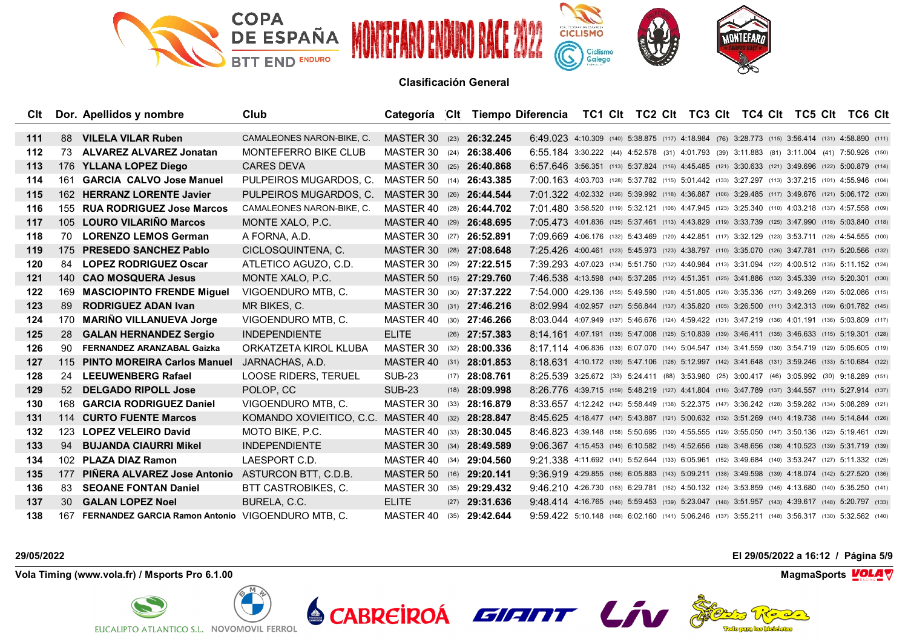

| Clt   |     | Dor. Apellidos y nombre                               | Club                                              |                                 |      |                         | Categoría CIt Tiempo Diferencia TC1 CIt TC2 CIt TC3 CIt TC4 CIt TC5 CIt TC6 CIt                    |  |  |  |  |  |  |
|-------|-----|-------------------------------------------------------|---------------------------------------------------|---------------------------------|------|-------------------------|----------------------------------------------------------------------------------------------------|--|--|--|--|--|--|
| $111$ |     | 88 VILELA VILAR Ruben                                 | CAMALEONES NARON-BIKE, C.                         | MASTER 30 (23) 26:32.245        |      |                         | 6:49.023 4:10.309 (140) 5:38.875 (117) 4:18.984 (76) 3:28.773 (115) 3:56.414 (131) 4:58.890 (111)  |  |  |  |  |  |  |
| 112   | 73  | <b>ALVAREZ ALVAREZ Jonatan</b>                        | <b>MONTEFERRO BIKE CLUB</b>                       | MASTER 30 (24) 26:38.406        |      |                         |                                                                                                    |  |  |  |  |  |  |
|       |     |                                                       |                                                   |                                 |      |                         | 6:55.184 3:30.222 (44) 4:52.578 (31) 4:01.793 (39) 3:11.883 (81) 3:11.004 (41) 7:50.926 (150)      |  |  |  |  |  |  |
| 113   |     | 176 YLLANA LOPEZ Diego                                | <b>CARES DEVA</b>                                 | MASTER 30 (25) 26:40.868        |      |                         | 6:57.646 3:56.351 (113) 5:37.824 (116) 4:45.485 (121) 3:30.633 (121) 3:49.696 (122) 5:00.879 (114) |  |  |  |  |  |  |
| 114   |     | 161 GARCIA CALVO Jose Manuel                          | PULPEIROS MUGARDOS, C.                            | MASTER 50 (14) 26:43.385        |      |                         | 7:00.163 4:03.703 (128) 5:37.782 (115) 5:01.442 (133) 3:27.297 (113) 3:37.215 (101) 4:55.946 (104) |  |  |  |  |  |  |
| 115   |     | 162 HERRANZ LORENTE Javier                            | PULPEIROS MUGARDOS, C.                            | MASTER 30 (26) 26:44.544        |      |                         | 7:01.322 4:02.332 (126) 5:39.992 (118) 4:36.887 (106) 3:29.485 (117) 3:49.676 (121) 5:06.172 (120) |  |  |  |  |  |  |
| 116   |     | 155 RUA RODRIGUEZ Jose Marcos                         | CAMALEONES NARON-BIKE, C.                         | MASTER 40                       |      | $(28)$ <b>26:44.702</b> | 7:01.480 3:58.520 (119) 5:32.121 (106) 4:47.945 (123) 3:25.340 (110) 4:03.218 (137) 4:57.558 (109) |  |  |  |  |  |  |
| 117   |     | 105 LOURO VILARIÑO Marcos                             | MONTE XALO, P.C.                                  | MASTER 40 (29) 26:48.695        |      |                         | 7:05.473 4:01.836 (125) 5:37.461 (113) 4:43.829 (119) 3:33.739 (125) 3:47.990 (118) 5:03.840 (118) |  |  |  |  |  |  |
| 118   | 70. | <b>LORENZO LEMOS German</b>                           | A FORNA, A.D.                                     | MASTER 30 (27) <b>26:52.891</b> |      |                         | 7:09.669 4:06.176 (132) 5:43.469 (120) 4:42.851 (117) 3:32.129 (123) 3:53.711 (128) 4:54.555 (100) |  |  |  |  |  |  |
| 119   |     | 175 PRESEDO SANCHEZ Pablo                             | CICLOSQUINTENA, C.                                | MASTER 30 (28) 27:08.648        |      |                         | 7:25.426 4:00.461 (123) 5:45.973 (123) 4:38.797 (110) 3:35.070 (126) 3:47.781 (117) 5:20.566 (132) |  |  |  |  |  |  |
| 120   |     | 84 LOPEZ RODRIGUEZ Oscar                              | ATLETICO AGUZO, C.D.                              | MASTER 30 (29) 27:22.515        |      |                         | 7:39.293 4:07.023 (134) 5:51.750 (132) 4:40.984 (113) 3:31.094 (122) 4:00.512 (135) 5:11.152 (124) |  |  |  |  |  |  |
| 121   |     | 140 CAO MOSQUERA Jesus                                | MONTE XALO, P.C.                                  | MASTER 50 (15) 27:29.760        |      |                         | 7:46.538 4:13.598 (143) 5:37.285 (112) 4:51.351 (125) 3:41.886 (132) 3:45.339 (112) 5:20.301 (130) |  |  |  |  |  |  |
| 122   |     | 169 MASCIOPINTO FRENDE Miquel                         | VIGOENDURO MTB. C.                                | MASTER 30 (30) 27:37.222        |      |                         | 7:54.000 4:29.136 (155) 5:49.590 (128) 4:51.805 (126) 3:35.336 (127) 3:49.269 (120) 5:02.086 (115) |  |  |  |  |  |  |
| 123   | 89  | <b>RODRIGUEZ ADAN Ivan</b>                            | MR BIKES, C.                                      | MASTER 30 (31) 27:46.216        |      |                         | 8:02.994 4:02.957 (127) 5:56.844 (137) 4:35.820 (105) 3:26.500 (111) 3:42.313 (109) 6:01.782 (145) |  |  |  |  |  |  |
| 124   |     | 170 MARIÑO VILLANUEVA Jorge                           | VIGOENDURO MTB. C.                                | MASTER 40                       |      | $(30)$ <b>27:46.266</b> | 8:03.044 4:07.949 (137) 5:46.676 (124) 4:59.422 (131) 3:47.219 (136) 4:01.191 (136) 5:03.809 (117) |  |  |  |  |  |  |
| 125   | 28  | <b>GALAN HERNANDEZ Sergio</b>                         | <b>INDEPENDIENTE</b>                              | <b>ELITE</b>                    |      | $(26)$ <b>27:57.383</b> | 8:14.161 4:07.191 (135) 5:47.008 (125) 5:10.839 (139) 3:46.411 (135) 3:46.633 (115) 5:19.301 (128) |  |  |  |  |  |  |
| 126   |     | 90 FERNANDEZ ARANZABAL Gaizka                         | ORKATZETA KIROL KLUBA                             | MASTER 30                       |      | $(32)$ <b>28:00.336</b> | 8:17.114 4:06.836 (133) 6:07.070 (144) 5:04.547 (134) 3:41.559 (130) 3:54.719 (129) 5:05.605 (119) |  |  |  |  |  |  |
| 127   |     | 115 PINTO MOREIRA Carlos Manuel                       | JARNACHAS, A.D.                                   | MASTER 40 (31) 28:01.853        |      |                         | 8:18.631 4:10.172 (139) 5:47.106 (126) 5:12.997 (142) 3:41.648 (131) 3:59.246 (133) 5:10.684 (122) |  |  |  |  |  |  |
| 128   |     | 24 LEEUWENBERG Rafael                                 | <b>LOOSE RIDERS, TERUEL</b>                       | <b>SUB-23</b>                   |      | $(17)$ 28:08.761        | 8:25.539 3:25.672 (33) 5:24.411 (88) 3:53.980 (25) 3:00.417 (46) 3:05.992 (30) 9:18.289 (151)      |  |  |  |  |  |  |
| 129   |     | 52 DELGADO RIPOLL Jose                                | POLOP. CC                                         | <b>SUB-23</b>                   |      | $(18)$ 28:09.998        | 8:26.776 4:39.715 (159) 5:48.219 (127) 4:41.804 (116) 3:47.789 (137) 3:44.557 (111) 5:27.914 (137) |  |  |  |  |  |  |
| 130   |     | 168 GARCIA RODRIGUEZ Daniel                           | VIGOENDURO MTB, C.                                | MASTER 30 (33) 28:16.879        |      |                         | 8:33.657 4:12.242 (142) 5:58.449 (138) 5:22.375 (147) 3:36.242 (128) 3:59.282 (134) 5:08.289 (121) |  |  |  |  |  |  |
| 131   |     | 114 CURTO FUENTE Marcos                               | KOMANDO XOVIEITICO, C.C. MASTER 40 (32) 28:28.847 |                                 |      |                         | 8:45.625 4:18.477 (147) 5:43.887 (121) 5:00.632 (132) 3:51.269 (141) 4:19.738 (144) 5:14.844 (126) |  |  |  |  |  |  |
| 132   | 123 | <b>LOPEZ VELEIRO David</b>                            | MOTO BIKE, P.C.                                   | MASTER 40                       | (33) | 28:30.045               | 8:46.823 4:39.148 (158) 5:50.695 (130) 4:55.555 (129) 3:55.050 (147) 3:50.136 (123) 5:19.461 (129) |  |  |  |  |  |  |
| 133   |     | 94 BUJANDA CIAURRI Mikel                              | <b>INDEPENDIENTE</b>                              | MASTER 30 (34) 28:49.589        |      |                         | 9:06.367 4:15.453 (145) 6:10.582 (145) 4:52.656 (128) 3:48.656 (138) 4:10.523 (139) 5:31.719 (139) |  |  |  |  |  |  |
| 134   |     | 102 PLAZA DIAZ Ramon                                  | LAESPORT C.D.                                     | MASTER 40                       | (34) | 29:04.560               | 9:21.338 4:11.692 (141) 5:52.644 (133) 6:05.961 (152) 3:49.684 (140) 3:53.247 (127) 5:11.332 (125) |  |  |  |  |  |  |
| 135   |     | 177 PIÑERA ALVAREZ Jose Antonio                       | ASTURCON BTT, C.D.B.                              | MASTER 50                       |      | $(16)$ <b>29:20.141</b> | 9:36.919 4:29.855 (156) 6:05.883 (143) 5:09.211 (138) 3:49.598 (139) 4:18.074 (142) 5:27.520 (136) |  |  |  |  |  |  |
| 136   | 83  | <b>SEOANE FONTAN Daniel</b>                           | <b>BTT CASTROBIKES, C.</b>                        | MASTER 30 (35) 29:29.432        |      |                         | 9:46.210 4:26.730 (153) 6:29.781 (152) 4:50.132 (124) 3:53.859 (145) 4:13.680 (140) 5:35.250 (141) |  |  |  |  |  |  |
| 137   | 30  | <b>GALAN LOPEZ Noel</b>                               | BURELA, C.C.                                      | <b>ELITE</b>                    |      | $(27)$ <b>29:31.636</b> | 9:48.414 4:16.765 (146) 5:59.453 (139) 5:23.047 (148) 3:51.957 (143) 4:39.617 (148) 5:20.797 (133) |  |  |  |  |  |  |
| 138   |     | 167 FERNANDEZ GARCIA Ramon Antonio VIGOENDURO MTB. C. |                                                   | MASTER 40 (35) 29:42.644        |      |                         | 9:59.422 5:10.148 (168) 6:02.160 (141) 5:06.246 (137) 3:55.211 (148) 3:56.317 (130) 5:32.562 (140) |  |  |  |  |  |  |

**Vola Timing (www.vola.fr) / Msports Pro 6.1.00 MagmaSports VOLA** 



**29/05/2022 El 29/05/2022 a 16:12 / Página 5/9**



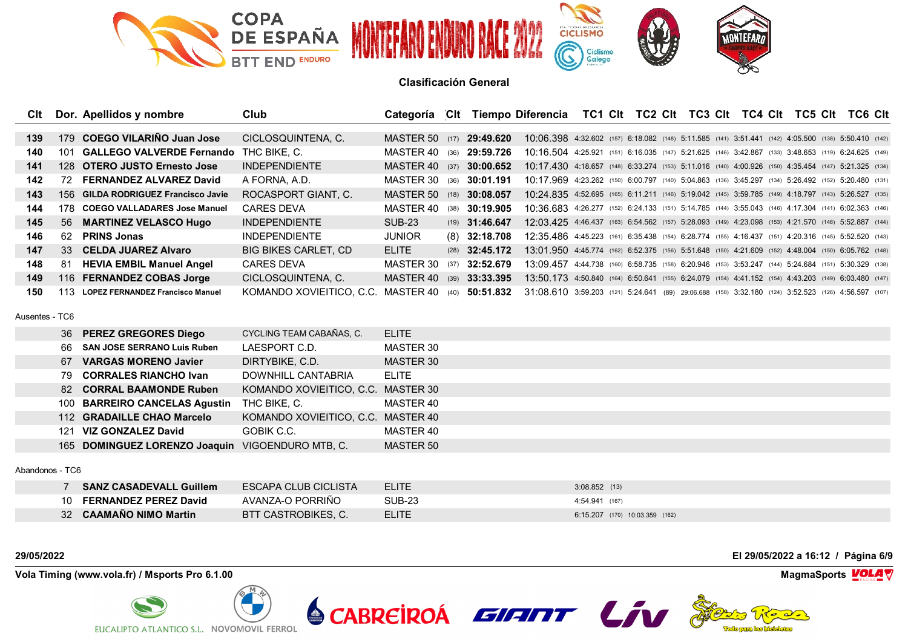

| C <sub>It</sub> |      | Dor. Apellidos y nombre                 | Club                        | Categoría             | ⊺Clt |                  | Tiempo Diferencia                                                                                   |  | TC1 CIt TC2 CIt TC3 CIt TC4 CIt TC5 CIt |  |  |  | TC6 Clt |  |
|-----------------|------|-----------------------------------------|-----------------------------|-----------------------|------|------------------|-----------------------------------------------------------------------------------------------------|--|-----------------------------------------|--|--|--|---------|--|
|                 |      |                                         |                             |                       |      |                  |                                                                                                     |  |                                         |  |  |  |         |  |
| 139             | 179  | COEGO VILARINO Juan Jose                | CICLOSQUINTENA, C.          | <b>MASTER 50</b> (17) |      | 29:49.620        | 10:06.398 4:32.602 (157) 6:18.082 (148) 5:11.585 (141) 3:51.441 (142) 4:05.500 (138) 5:50.410 (142) |  |                                         |  |  |  |         |  |
| 140             | 101  | <b>GALLEGO VALVERDE Fernando</b>        | THC BIKE, C.                | MASTFR 40             | (36) | 29:59.726        | 10:16.504 4:25.921 (151) 6:16.035 (147) 5:21.625 (146) 3:42.867 (133) 3:48.653 (119) 6:24.625 (149) |  |                                         |  |  |  |         |  |
| 141             |      | 128 OTERO JUSTO Ernesto Jose            | <b>INDEPENDIENTE</b>        | MASTFR 40             | (37) | 30:00.652        | 10:17.430 4:18.657 (148) 6:33.274 (153) 5:11.016 (140) 4:00.926 (150) 4:35.454 (147) 5:21.325 (134) |  |                                         |  |  |  |         |  |
| 142             | 72.  | <b>FERNANDEZ ALVAREZ David</b>          | A FORNA, A.D.               | MASTER 30             | (36) | 30:01.191        | 10:17.969 4:23.262 (150) 6:00.797 (140) 5:04.863 (136) 3:45.297 (134) 5:26.492 (152) 5:20.480 (131) |  |                                         |  |  |  |         |  |
| 143             | 156. | <b>GILDA RODRIGUEZ Francisco Javie</b>  | ROCASPORT GIANT. C.         | MASTFR 50             | (18) | 30:08.057        | 10:24.835 4:52.695 (165) 6:11.211 (146) 5:19.042 (145) 3:59.785 (149) 4:18.797 (143) 5:26.527 (135) |  |                                         |  |  |  |         |  |
| 144             | 178. | <b>COEGO VALLADARES Jose Manuel</b>     | <b>CARES DEVA</b>           | MASTER 40             | (38) | 30:19.905        | 10:36.683 4:26.277 (152) 6:24.133 (151) 5:14.785 (144) 3:55.043 (146) 4:17.304 (141) 6:02.363 (146) |  |                                         |  |  |  |         |  |
| 145             |      | 56 MARTINEZ VELASCO Hugo                | <b>INDEPENDIENTE</b>        | <b>SUB-23</b>         |      | $(19)$ 31:46.647 | 12:03.425 4:46.437 (163) 6:54.562 (157) 5:28.093 (149) 4:23.098 (153) 4:21.570 (146) 5:52.887 (144) |  |                                         |  |  |  |         |  |
| 146             | 62.  | <b>PRINS Jonas</b>                      | <b>INDEPENDIENTE</b>        | <b>JUNIOR</b>         |      | $(8)$ 32:18.708  | 12:35.486 4:45.223 (161) 6:35.438 (154) 6:28.774 (155) 4:16.437 (151) 4:20.316 (145) 5:52.520 (143) |  |                                         |  |  |  |         |  |
| 147             |      | 33 CELDA JUAREZ Alvaro                  | <b>BIG BIKES CARLET, CD</b> | <b>ELITE</b>          |      | $(28)$ 32:45.172 | 13:01.950 4:45.774 (162) 6:52.375 (156) 5:51.648 (150) 4:21.609 (152) 4:48.004 (150) 6:05.762 (148) |  |                                         |  |  |  |         |  |
| 148             | -81  | <b>HEVIA EMBIL Manuel Angel</b>         | <b>CARES DEVA</b>           | MASTER 30             | (37) | 32:52.679        | 13:09 457 4:44.738 (160) 6:58.735 (158) 6:20.946 (153) 3:53.247 (144) 5:24.684 (151) 5:30.329 (138) |  |                                         |  |  |  |         |  |
| 149             |      | 116 FERNANDEZ COBAS Jorge               | CICLOSQUINTENA, C.          | MASTER 40             | (39) | 33:33.395        | 13:50.173 4:50.840 (164) 6:50.641 (155) 6:24.079 (154) 4:41.152 (154) 4:43.203 (149) 6:03.480 (147) |  |                                         |  |  |  |         |  |
| 150             | 113. | <b>LOPEZ FERNANDEZ Francisco Manuel</b> | KOMANDO XOVIEITICO. C.C.    | MASTER 40             | (40) | 50:51.832        | 31:08.610 3:59.203 (121) 5:24.641 (89) 29:06.688 (158) 3:32.180 (124) 3:52.523 (126) 4:56.597 (107) |  |                                         |  |  |  |         |  |

Ausentes - TC6

|     | 36 PEREZ GREGORES Diego                          | CYCLING TEAM CABAÑAS, C.           | <b>ELITE</b> |
|-----|--------------------------------------------------|------------------------------------|--------------|
| 66. | <b>SAN JOSE SERRANO Luis Ruben</b>               | LAESPORT C.D.                      | MASTER 30    |
| 67  | <b>VARGAS MORENO Javier</b>                      | DIRTYBIKE, C.D.                    | MASTER 30    |
| 79. | <b>CORRALES RIANCHO Ivan</b>                     | DOWNHILL CANTABRIA                 | <b>ELITE</b> |
|     | 82 CORRAL BAAMONDE Ruben                         | KOMANDO XOVIEITICO, C.C. MASTER 30 |              |
|     | 100 BARREIRO CANCELAS Agustin                    | THC BIKE, C.                       | MASTER 40    |
|     | 112 GRADAILLE CHAO Marcelo                       | KOMANDO XOVIEITICO, C.C. MASTER 40 |              |
| 121 | VIZ GONZALEZ David                               | GOBIK C.C.                         | MASTER 40    |
|     | 165 DOMINGUEZ LORENZO Joaquin VIGOENDURO MTB, C. |                                    | MASTER 50    |
|     |                                                  |                                    |              |

### Abandonos - TC6

| <b>SANZ CASADEVALL Guillem</b> | ESCAPA CLUB CICLISTA | <b>ELITE</b> | $3:08.852$ (13)                |
|--------------------------------|----------------------|--------------|--------------------------------|
| <b>FERNANDEZ PEREZ David</b>   | AVANZA-O PORRIÑO     | SUB-23       | 4:54.941 (167)                 |
| 32 CAAMANO NIMO Martin         | BTT CASTROBIKES, C.  | <b>ELITE</b> | 6:15.207 (170) 10:03.359 (162) |

**Vola Timing (www.vola.fr) / Msports Pro 6.1.00 MagmaSports VOLA** 



**29/05/2022 El 29/05/2022 a 16:12 / Página 6/9**



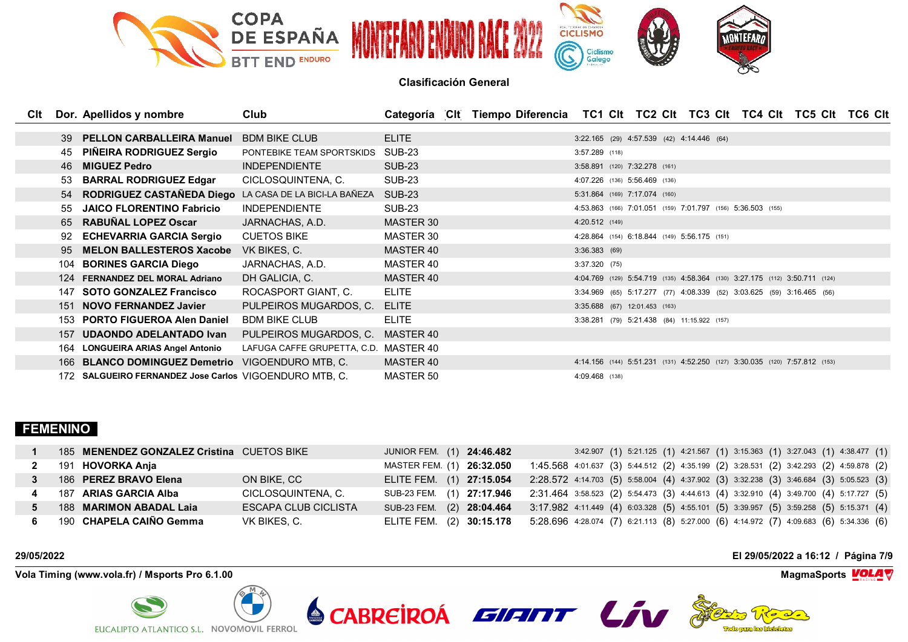

| <b>C</b> It |     | Dor. Apellidos y nombre                                   | Club                                  |               | Categoría CIt Tiempo Diferencia TC1 CIt TC2 CIt TC3 CIt TC4 CIt TC5 CIt TC6 CIt |                               |  |                                              |                                                                            |  |
|-------------|-----|-----------------------------------------------------------|---------------------------------------|---------------|---------------------------------------------------------------------------------|-------------------------------|--|----------------------------------------------|----------------------------------------------------------------------------|--|
|             |     |                                                           |                                       |               |                                                                                 |                               |  |                                              |                                                                            |  |
|             | 39  | <b>PELLON CARBALLEIRA Manuel</b>                          | <b>BDM BIKE CLUB</b>                  | <b>ELITE</b>  |                                                                                 |                               |  | 3:22.165 (29) 4:57.539 (42) 4:14.446 (64)    |                                                                            |  |
|             | 45  | <b>PINEIRA RODRIGUEZ Sergio</b>                           | PONTEBIKE TEAM SPORTSKIDS             | SUB-23        |                                                                                 | $3:57.289$ (118)              |  |                                              |                                                                            |  |
|             |     | 46 MIGUEZ Pedro                                           | <b>INDEPENDIENTE</b>                  | <b>SUB-23</b> |                                                                                 | 3:58.891 (120) 7:32.278 (161) |  |                                              |                                                                            |  |
|             | 53  | <b>BARRAL RODRIGUEZ Edgar</b>                             | CICLOSQUINTENA, C.                    | <b>SUB-23</b> |                                                                                 | 4:07.226 (136) 5:56.469 (136) |  |                                              |                                                                            |  |
|             |     | 54 RODRIGUEZ CASTAÑEDA Diego LA CASA DE LA BICI-LA BAÑEZA |                                       | <b>SUB-23</b> |                                                                                 | 5:31.864 (169) 7:17.074 (160) |  |                                              |                                                                            |  |
|             | 55  | <b>JAICO FLORENTINO Fabricio</b>                          | <b>INDEPENDIENTE</b>                  | <b>SUB-23</b> |                                                                                 |                               |  |                                              | 4:53.863 (166) 7:01.051 (159) 7:01.797 (156) 5:36.503 (155)                |  |
|             | 65  | <b>RABUÑAL LOPEZ Oscar</b>                                | JARNACHAS, A.D.                       | MASTER 30     |                                                                                 | 4:20.512 (149)                |  |                                              |                                                                            |  |
|             | 92  | <b>ECHEVARRIA GARCIA Sergio</b>                           | <b>CUETOS BIKE</b>                    | MASTER 30     |                                                                                 |                               |  | 4:28.864 (154) 6:18.844 (149) 5:56.175 (151) |                                                                            |  |
|             | 95  | <b>MELON BALLESTEROS Xacobe</b>                           | VK BIKES, C.                          | MASTER 40     |                                                                                 | 3:36.383(69)                  |  |                                              |                                                                            |  |
|             | 104 | <b>BORINES GARCIA Diego</b>                               | JARNACHAS, A.D.                       | MASTER 40     |                                                                                 | $3:37.320$ (75)               |  |                                              |                                                                            |  |
|             |     | 124 FERNANDEZ DEL MORAL Adriano                           | DH GALICIA, C.                        | MASTER 40     |                                                                                 |                               |  |                                              | 4:04.769 (129) 5:54.719 (135) 4:58.364 (130) 3:27.175 (112) 3:50.711 (124) |  |
|             | 147 | <b>SOTO GONZALEZ Francisco</b>                            | ROCASPORT GIANT, C.                   | <b>ELITE</b>  |                                                                                 |                               |  |                                              | 3:34.969 (65) 5:17.277 (77) 4:08.339 (52) 3:03.625 (59) 3:16.465 (56)      |  |
|             |     | 151 NOVO FERNANDEZ Javier                                 | PULPEIROS MUGARDOS, C.                | <b>ELITE</b>  |                                                                                 | 3:35.688 (67) 12:01.453 (163) |  |                                              |                                                                            |  |
|             |     | 153 PORTO FIGUEROA Alen Daniel                            | <b>BDM BIKE CLUB</b>                  | <b>ELITE</b>  |                                                                                 |                               |  | 3:38.281 (79) 5:21.438 (84) 11:15.922 (157)  |                                                                            |  |
|             | 157 | <b>UDAONDO ADELANTADO Ivan</b>                            | PULPEIROS MUGARDOS, C.                | MASTER 40     |                                                                                 |                               |  |                                              |                                                                            |  |
|             | 164 | <b>LONGUEIRA ARIAS Angel Antonio</b>                      | LAFUGA CAFFE GRUPETTA, C.D. MASTER 40 |               |                                                                                 |                               |  |                                              |                                                                            |  |
|             |     | 166 BLANCO DOMINGUEZ Demetrio                             | VIGOENDURO MTB, C.                    | MASTER 40     |                                                                                 |                               |  |                                              | 4:14.156 (144) 5:51.231 (131) 4:52.250 (127) 3:30.035 (120) 7:57.812 (153) |  |
|             |     | 172 SALGUEIRO FERNANDEZ Jose Carlos VIGOENDURO MTB. C.    |                                       | MASTER 50     |                                                                                 | 4:09.468 (138)                |  |                                              |                                                                            |  |

## **FEMENINO**

| 185 MENENDEZ GONZALEZ Cristina CUETOS BIKE |                      | JUNIOR FEM. (1) 24:46.482 | 3:42.907 (1) 5:21.125 (1) 4:21.567 (1) 3:15.363 (1) 3:27.043 (1) 4:38.477 (1)                                   |
|--------------------------------------------|----------------------|---------------------------|-----------------------------------------------------------------------------------------------------------------|
| 191 <b>HOVORKA Anja</b>                    |                      | MASTER FEM. (1) 26:32.050 | 1:45.568 4:01.637 (3) 5:44.512 (2) 4:35.199 (2) 3:28.531 (2) 3:42.293 (2) 4:59.878 (2)                          |
| 186 PEREZ BRAVO Elena                      | ON BIKE, CC          | ELITE FEM. (1) 27:15.054  | 2:28.572 4:14.703 (5) 5:58.004 (4) 4:37.902 (3) 3:32.238 (3) 3:46.684 (3) 5:05.523 (3)                          |
| 187 ARIAS GARCIA Alba                      | CICLOSQUINTENA, C.   | SUB-23 FEM. (1) 27:17.946 | 2:31.464 3:58.523 (2) 5:54.473 (3) 4:44.613 (4) 3:32.910 (4) 3:49.700 (4) 5:17.727 (5)                          |
| 188 <b>MARIMON ABADAL Laia</b>             | ESCAPA CLUB CICLISTA | SUB-23 FEM. (2) 28:04.464 | 3:17.982 4:11.449 (4) 6:03.328 (5) 4:55.101 (5) 3:39.957 (5) 3:59.258 (5) 5:15.371 (4)                          |
| 190 CHAPELA CAIÑO Gemma                    | VK BIKES. C.         |                           | ELITE FEM. (2) 30:15.178 5:28.696 4:28.074 (7) 6:21.113 (8) 5:27.000 (6) 4:14.972 (7) 4:09.683 (6) 5:34.336 (6) |

**Vola Timing (www.vola.fr) / Msports Pro 6.1.00 MagmaSports VOLA** 



**29/05/2022 El 29/05/2022 a 16:12 / Página 7/9**

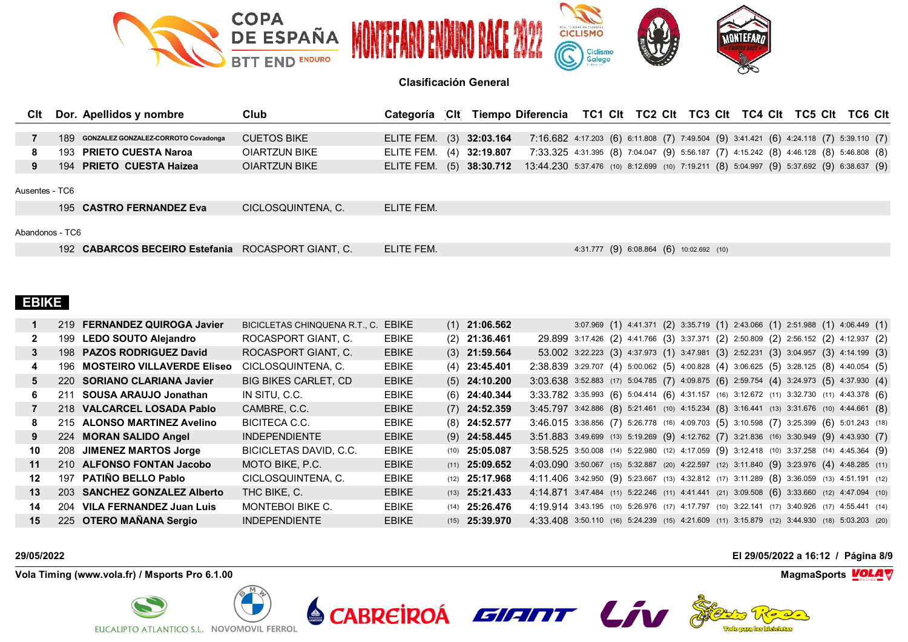

| CIt             | Dor. Apellidos y nombre                            | Club               | Categoría                |                 | CIt Tiempo Diferencia TC1 CIt TC2 CIt TC3 CIt TC4 CIt TC5 CIt TC6 CIt                     |                                          |  |  |  |  |  |  |
|-----------------|----------------------------------------------------|--------------------|--------------------------|-----------------|-------------------------------------------------------------------------------------------|------------------------------------------|--|--|--|--|--|--|
|                 |                                                    |                    |                          |                 |                                                                                           |                                          |  |  |  |  |  |  |
|                 | 189 GONZALEZ GONZALEZ-CORROTO Covadonga            | <b>CUETOS BIKE</b> | ELITE FEM. (3) 32:03.164 |                 | 7:16.682 4:17.203 (6) 6:11.808 (7) 7:49.504 (9) 3:41.421 (6) 4:24.118 (7) 5:39.110 (7)    |                                          |  |  |  |  |  |  |
| 8               | 193 PRIETO CUESTA Naroa                            | OIARTZUN BIKE      | ELITE FEM.               | $(4)$ 32:19.807 | 7:33.325 4:31.395 (8) 7:04.047 (9) 5:56.187 (7) 4:15.242 (8) 4:46.128 (8) 5:46.808 (8)    |                                          |  |  |  |  |  |  |
| 9               | 194 PRIETO CUESTA Haizea                           | OIARTZUN BIKE      | ELITE FEM. (5) 38:30.712 |                 | 13:44.230 5:37.476 (10) 8:12.699 (10) 7:19.211 (8) 5:04.997 (9) 5:37.692 (9) 6:38.637 (9) |                                          |  |  |  |  |  |  |
| Ausentes - TC6  |                                                    |                    |                          |                 |                                                                                           |                                          |  |  |  |  |  |  |
|                 | 195 CASTRO FERNANDEZ Eva                           | CICLOSQUINTENA. C. | ELITE FEM.               |                 |                                                                                           |                                          |  |  |  |  |  |  |
| Abandonos - TC6 |                                                    |                    |                          |                 |                                                                                           |                                          |  |  |  |  |  |  |
|                 | 192 CABARCOS BECEIRO Estefania ROCASPORT GIANT. C. |                    | ELITE FEM.               |                 |                                                                                           | 4:31.777 (9) 6:08.864 (6) 10:02.692 (10) |  |  |  |  |  |  |

# **EBIKE**

|    |     | 219 FERNANDEZ QUIROGA Javier      | BICICLETAS CHINQUENA R.T., C. | <b>EBIKE</b> | $(1)$ 21:06.562         |                                                                                              |  |  | $3.07.969$ (1) $4.41.371$ (2) $3.35.719$ (1) $2.43.066$ (1) $2.51.988$ (1) $4.06.449$ (1)    |  |  |
|----|-----|-----------------------------------|-------------------------------|--------------|-------------------------|----------------------------------------------------------------------------------------------|--|--|----------------------------------------------------------------------------------------------|--|--|
|    |     | 199 LEDO SOUTO Alejandro          | ROCASPORT GIANT, C.           | <b>EBIKE</b> | $(2)$ 21:36.461         |                                                                                              |  |  | 29.899 3:17.426 (2) 4:41.766 (3) 3:37.371 (2) 2:50.809 (2) 2:56.152 (2) 4:12.937 (2)         |  |  |
| 3  |     | 198 PAZOS RODRIGUEZ David         | ROCASPORT GIANT, C.           | <b>EBIKE</b> | $(3)$ 21:59.564         |                                                                                              |  |  | 53.002 3:22.223 (3) 4:37.973 (1) 3:47.981 (3) 2:52.231 (3) 3:04.957 (3) 4:14.199 (3)         |  |  |
| 4  | 196 | <b>MOSTEIRO VILLAVERDE Eliseo</b> | CICLOSQUINTENA, C.            | <b>EBIKE</b> | $(4)$ 23:45.401         |                                                                                              |  |  | 2:38.839 3:29.707 (4) 5:00.062 (5) 4:00.828 (4) 3:06.625 (5) 3:28.125 (8) 4:40.054 (5)       |  |  |
| 5. |     | 220 SORIANO CLARIANA Javier       | <b>BIG BIKES CARLET, CD</b>   | <b>EBIKE</b> | $(5)$ 24:10.200         |                                                                                              |  |  | 3:03.638 3:52.883 (17) 5:04.785 (7) 4:09.875 (6) 2:59.754 (4) 3:24.973 (5) 4:37.930 (4)      |  |  |
| 6. |     | 211 SOUSA ARAUJO Jonathan         | IN SITU. C.C.                 | <b>EBIKE</b> | $(6)$ 24:40.344         | 3:33.782 3:35.993 (6) 5:04.414 (6) 4:31.157 (16) 3:12.672 (11) 3:32.730 (11) 4:43.378 (6)    |  |  |                                                                                              |  |  |
|    |     | 218 VALCARCEL LOSADA Pablo        | CAMBRE, C.C.                  | <b>EBIKE</b> | $(7)$ 24:52.359         | 3:45.797 3:42.886 (8) 5:21.461 (10) 4:15.234 (8) 3:16.441 (13) 3:31.676 (10) 4:44.661 (8)    |  |  |                                                                                              |  |  |
| 8  |     | 215 ALONSO MARTINEZ Avelino       | BICITECA C.C.                 | <b>EBIKE</b> | $(8)$ 24:52.577         | 3:46.015 3:38.856 (7) 5:26.778 (16) 4:09.703 (5) 3:10.598 (7) 3:25.399 (6) 5:01.243 (18)     |  |  |                                                                                              |  |  |
| 9  |     | 224 MORAN SALIDO Angel            | <b>INDEPENDIENTE</b>          | <b>EBIKE</b> | $(9)$ 24:58.445         | 3:51.883 3:49.699 (13) 5:19.269 (9) 4:12.762 (7) 3:21.836 (16) 3:30.949 (9) 4:43.930 (7)     |  |  |                                                                                              |  |  |
| 10 |     | 208 JIMENEZ MARTOS Jorge          | BICICLETAS DAVID, C.C.        | <b>EBIKE</b> | $(10)$ 25:05.087        | 3:58.525 3:50.008 (14) 5:22.980 (12) 4:17.059 (9) 3:12.418 (10) 3:37.258 (14) 4:45.364 (9)   |  |  |                                                                                              |  |  |
| 11 |     | 210 ALFONSO FONTAN Jacobo         | MOTO BIKE, P.C.               | <b>EBIKE</b> | $(11)$ 25:09.652        | 4:03.090 3:50.067 (15) 5:32.887 (20) 4:22.597 (12) 3:11.840 (9) 3:23.976 (4) 4:48.285 (11)   |  |  |                                                                                              |  |  |
| 12 |     | 197 PATIÑO BELLO Pablo            | CICLOSQUINTENA, C.            | <b>EBIKE</b> | $(12)$ 25:17.968        | 4:11.406 3:42.950 (9) 5:23.667 (13) 4:32.812 (17) 3:11.289 (8) 3:36.059 (13) 4:51.191 (12)   |  |  |                                                                                              |  |  |
| 13 |     | 203 SANCHEZ GONZALEZ Alberto      | THC BIKE, C.                  | <b>EBIKE</b> | $(13)$ <b>25:21.433</b> | 4:14.871 3:47.484 (11) 5:22.246 (11) 4:41.441 (21) 3:09.508 (6) 3:33.660 (12) 4:47.094 (10)  |  |  |                                                                                              |  |  |
| 14 | 204 | VILA FERNANDEZ Juan Luis          | MONTEBOI BIKE C.              | <b>EBIKE</b> | $(14)$ 25:26.476        | 4:19.914 3:43.195 (10) 5:26.976 (17) 4:17.797 (10) 3:22.141 (17) 3:40.926 (17) 4:55.441 (14) |  |  |                                                                                              |  |  |
| 15 |     | 225 OTERO MAÑANA Sergio           | <b>INDEPENDIENTE</b>          | <b>EBIKE</b> | $(15)$ 25:39.970        |                                                                                              |  |  | 4:33.408 3:50.110 (16) 5:24.239 (15) 4:21.609 (11) 3:15.879 (12) 3:44.930 (18) 5:03.203 (20) |  |  |

**Vola Timing (www.vola.fr) / Msports Pro 6.1.00 MagmaSports VOLA** 



**29/05/2022 El 29/05/2022 a 16:12 / Página 8/9**